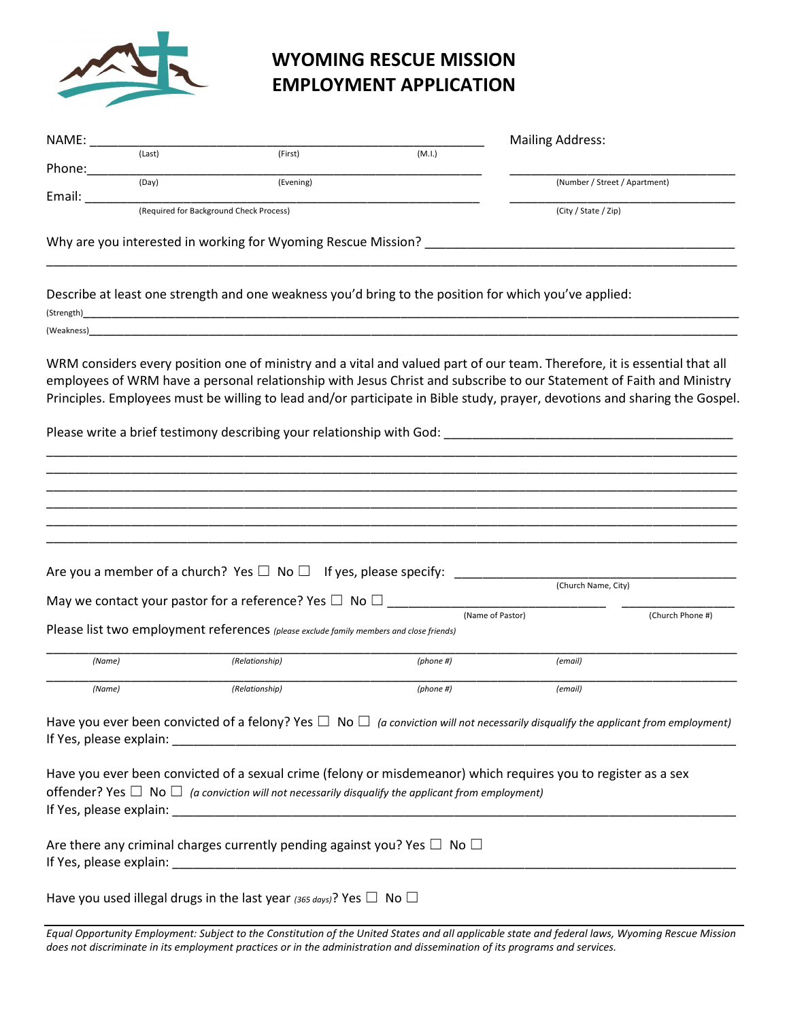

| NAME:  |                                         |                                                               |        | <b>Mailing Address:</b>       |  |
|--------|-----------------------------------------|---------------------------------------------------------------|--------|-------------------------------|--|
|        | (Last)                                  | (First)                                                       | (M.I.) |                               |  |
| Phone: |                                         |                                                               |        |                               |  |
|        | (Day)                                   | (Evening)                                                     |        | (Number / Street / Apartment) |  |
| Email: |                                         |                                                               |        |                               |  |
|        | (Required for Background Check Process) |                                                               |        | (City / State / Zip)          |  |
|        |                                         |                                                               |        |                               |  |
|        |                                         | Why are you interested in working for Wyoming Rescue Mission? |        |                               |  |

\_\_\_\_\_\_\_\_\_\_\_\_\_\_\_\_\_\_\_\_\_\_\_\_\_\_\_\_\_\_\_\_\_\_\_\_\_\_\_\_\_\_\_\_\_\_\_\_\_\_\_\_\_\_\_\_\_\_\_\_\_\_\_\_\_\_\_\_\_\_\_\_\_\_\_\_\_\_\_\_\_\_\_\_\_\_\_\_\_\_\_\_\_\_\_\_\_\_

Describe at least one strength and one weakness you'd bring to the position for which you've applied:

(Strength)\_\_\_\_\_\_\_\_\_\_\_\_\_\_\_\_\_\_\_\_\_\_\_\_\_\_\_\_\_\_\_\_\_\_\_\_\_\_\_\_\_\_\_\_\_\_\_\_\_\_\_\_\_\_\_\_\_\_\_\_\_\_\_\_\_\_\_\_\_\_\_\_\_\_\_\_\_\_\_\_\_\_\_\_\_\_\_\_\_\_\_\_\_  $(Weakness)$ 

WRM considers every position one of ministry and a vital and valued part of our team. Therefore, it is essential that all employees of WRM have a personal relationship with Jesus Christ and subscribe to our Statement of Faith and Ministry Principles. Employees must be willing to lead and/or participate in Bible study, prayer, devotions and sharing the Gospel.

\_\_\_\_\_\_\_\_\_\_\_\_\_\_\_\_\_\_\_\_\_\_\_\_\_\_\_\_\_\_\_\_\_\_\_\_\_\_\_\_\_\_\_\_\_\_\_\_\_\_\_\_\_\_\_\_\_\_\_\_\_\_\_\_\_\_\_\_\_\_\_\_\_\_\_\_\_\_\_\_\_\_\_\_\_\_\_\_\_\_\_\_\_\_\_\_\_\_ \_\_\_\_\_\_\_\_\_\_\_\_\_\_\_\_\_\_\_\_\_\_\_\_\_\_\_\_\_\_\_\_\_\_\_\_\_\_\_\_\_\_\_\_\_\_\_\_\_\_\_\_\_\_\_\_\_\_\_\_\_\_\_\_\_\_\_\_\_\_\_\_\_\_\_\_\_\_\_\_\_\_\_\_\_\_\_\_\_\_\_\_\_\_\_\_\_\_ \_\_\_\_\_\_\_\_\_\_\_\_\_\_\_\_\_\_\_\_\_\_\_\_\_\_\_\_\_\_\_\_\_\_\_\_\_\_\_\_\_\_\_\_\_\_\_\_\_\_\_\_\_\_\_\_\_\_\_\_\_\_\_\_\_\_\_\_\_\_\_\_\_\_\_\_\_\_\_\_\_\_\_\_\_\_\_\_\_\_\_\_\_\_\_\_\_\_

Please write a brief testimony describing your relationship with God:

|        | Are you a member of a church? Yes $\square$ No $\square$ If yes, please specify:                                                                                                                                               |                  |                     |                  |
|--------|--------------------------------------------------------------------------------------------------------------------------------------------------------------------------------------------------------------------------------|------------------|---------------------|------------------|
|        |                                                                                                                                                                                                                                |                  | (Church Name, City) |                  |
|        | May we contact your pastor for a reference? Yes $\Box$ No $\Box$                                                                                                                                                               | (Name of Pastor) |                     | (Church Phone #) |
|        | Please list two employment references (please exclude family members and close friends)                                                                                                                                        |                  |                     |                  |
| (Name) | (Relationship)                                                                                                                                                                                                                 | (phone #)        | (email)             |                  |
|        |                                                                                                                                                                                                                                |                  |                     |                  |
| (Name) | (Relationship)<br>Have you ever been convicted of a felony? Yes $\Box$ No $\Box$ (a conviction will not necessarily disqualify the applicant from employment)                                                                  | (phone H)        | (email)             |                  |
|        | Have you ever been convicted of a sexual crime (felony or misdemeanor) which requires you to register as a sex<br>offender? Yes $\Box$ No $\Box$ (a conviction will not necessarily disqualify the applicant from employment)  |                  |                     |                  |
|        | If Yes, please explain: Note and the set of the set of the set of the set of the set of the set of the set of the set of the set of the set of the set of the set of the set of the set of the set of the set of the set of th |                  |                     |                  |
|        | Are there any criminal charges currently pending against you? Yes $\Box$ No $\Box$                                                                                                                                             |                  |                     |                  |
|        | If Yes, please explain: The according of the state of the state of the state of the state of the state of the state of the state of the state of the state of the state of the state of the state of the state of the state of |                  |                     |                  |

Equal Opportunity Employment: Subject to the Constitution of the United States and all applicable state and federal laws, Wyoming Rescue Mission does not discriminate in its employment practices or in the administration and dissemination of its programs and services.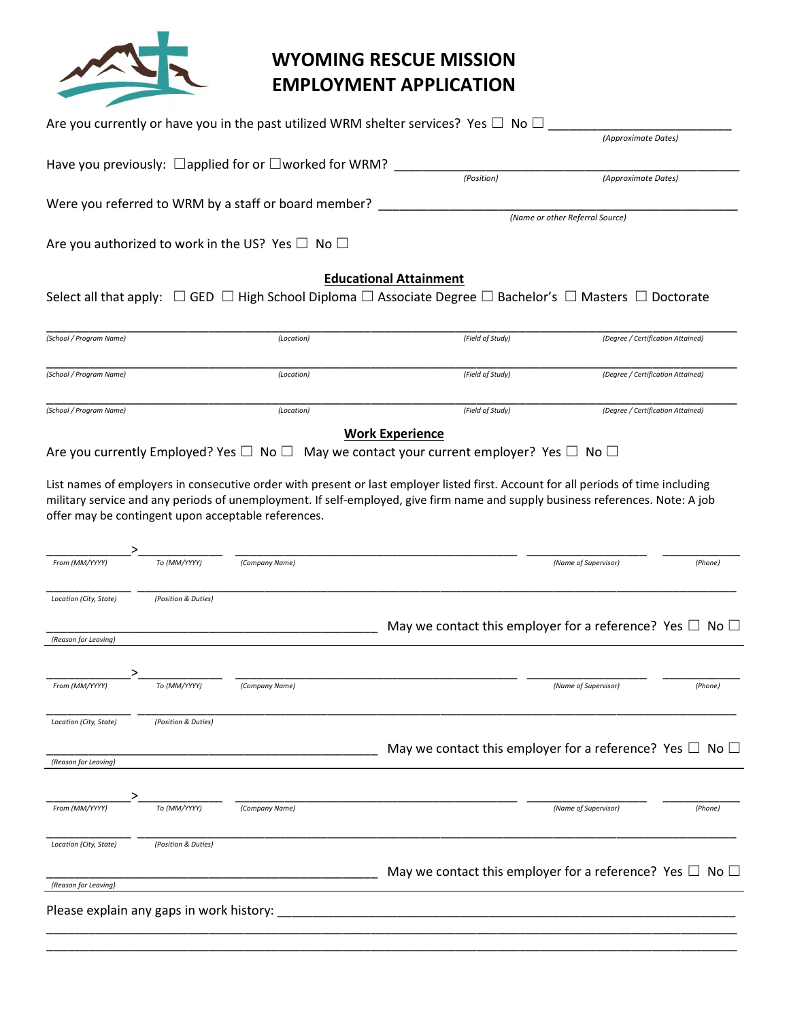

|                                          |                     |                                                                   | Are you currently or have you in the past utilized WRM shelter services? Yes $\Box$ No $\Box$                                                                                                                                                                        |                                   |         |
|------------------------------------------|---------------------|-------------------------------------------------------------------|----------------------------------------------------------------------------------------------------------------------------------------------------------------------------------------------------------------------------------------------------------------------|-----------------------------------|---------|
|                                          |                     |                                                                   |                                                                                                                                                                                                                                                                      | (Approximate Dates)               |         |
|                                          |                     | Have you previously: $\Box$ applied for or $\Box$ worked for WRM? |                                                                                                                                                                                                                                                                      |                                   |         |
|                                          |                     |                                                                   | (Position)                                                                                                                                                                                                                                                           | (Approximate Dates)               |         |
|                                          |                     | Were you referred to WRM by a staff or board member?              |                                                                                                                                                                                                                                                                      |                                   |         |
|                                          |                     |                                                                   |                                                                                                                                                                                                                                                                      | (Name or other Referral Source)   |         |
|                                          |                     | Are you authorized to work in the US? Yes $\Box$ No $\Box$        |                                                                                                                                                                                                                                                                      |                                   |         |
|                                          |                     |                                                                   |                                                                                                                                                                                                                                                                      |                                   |         |
|                                          |                     |                                                                   | <b>Educational Attainment</b><br>Select all that apply: $\Box$ GED $\Box$ High School Diploma $\Box$ Associate Degree $\Box$ Bachelor's $\Box$ Masters $\Box$ Doctorate                                                                                              |                                   |         |
|                                          |                     |                                                                   |                                                                                                                                                                                                                                                                      |                                   |         |
| (School / Program Name)                  |                     | (Location)                                                        | (Field of Study)                                                                                                                                                                                                                                                     | (Degree / Certification Attained) |         |
|                                          |                     |                                                                   |                                                                                                                                                                                                                                                                      |                                   |         |
| (School / Program Name)                  |                     | (Location)                                                        | (Field of Study)                                                                                                                                                                                                                                                     | (Degree / Certification Attained) |         |
|                                          |                     |                                                                   |                                                                                                                                                                                                                                                                      |                                   |         |
| (School / Program Name)                  |                     | (Location)                                                        | (Field of Study)                                                                                                                                                                                                                                                     | (Degree / Certification Attained) |         |
|                                          |                     |                                                                   | <b>Work Experience</b>                                                                                                                                                                                                                                               |                                   |         |
|                                          |                     |                                                                   | Are you currently Employed? Yes $\Box$ No $\Box$ May we contact your current employer? Yes $\Box$ No $\Box$                                                                                                                                                          |                                   |         |
|                                          |                     | offer may be contingent upon acceptable references.               | List names of employers in consecutive order with present or last employer listed first. Account for all periods of time including<br>military service and any periods of unemployment. If self-employed, give firm name and supply business references. Note: A job |                                   |         |
|                                          |                     |                                                                   |                                                                                                                                                                                                                                                                      |                                   |         |
| From (MM/YYYY)                           | To (MM/YYYY)        | (Company Name)                                                    |                                                                                                                                                                                                                                                                      | (Name of Supervisor)              | (Phone) |
| Location (City, State)                   | (Position & Duties) |                                                                   |                                                                                                                                                                                                                                                                      |                                   |         |
|                                          |                     |                                                                   | May we contact this employer for a reference? Yes $\Box$ No $\Box$                                                                                                                                                                                                   |                                   |         |
| (Reason for Leaving)                     |                     |                                                                   |                                                                                                                                                                                                                                                                      |                                   |         |
|                                          |                     |                                                                   |                                                                                                                                                                                                                                                                      |                                   |         |
| From (MM/YYYY)                           | To (MM/YYYY)        | (Company Name)                                                    |                                                                                                                                                                                                                                                                      | (Name of Supervisor)              | (Phone) |
|                                          |                     |                                                                   |                                                                                                                                                                                                                                                                      |                                   |         |
| Location (City, State)                   | (Position & Duties) |                                                                   |                                                                                                                                                                                                                                                                      |                                   |         |
|                                          |                     |                                                                   | May we contact this employer for a reference? Yes $\Box$ No $\Box$                                                                                                                                                                                                   |                                   |         |
| (Reason for Leaving)                     |                     |                                                                   |                                                                                                                                                                                                                                                                      |                                   |         |
|                                          |                     |                                                                   |                                                                                                                                                                                                                                                                      |                                   |         |
| From (MM/YYYY)                           | To (MM/YYYY)        | (Company Name)                                                    |                                                                                                                                                                                                                                                                      | (Name of Supervisor)              | (Phone) |
|                                          |                     |                                                                   |                                                                                                                                                                                                                                                                      |                                   |         |
| Location (City, State)                   | (Position & Duties) |                                                                   |                                                                                                                                                                                                                                                                      |                                   |         |
|                                          |                     |                                                                   | May we contact this employer for a reference? Yes $\Box$ No $\Box$                                                                                                                                                                                                   |                                   |         |
| (Reason for Leaving)                     |                     |                                                                   |                                                                                                                                                                                                                                                                      |                                   |         |
| Please explain any gaps in work history: |                     |                                                                   |                                                                                                                                                                                                                                                                      |                                   |         |
|                                          |                     |                                                                   |                                                                                                                                                                                                                                                                      |                                   |         |
|                                          |                     |                                                                   |                                                                                                                                                                                                                                                                      |                                   |         |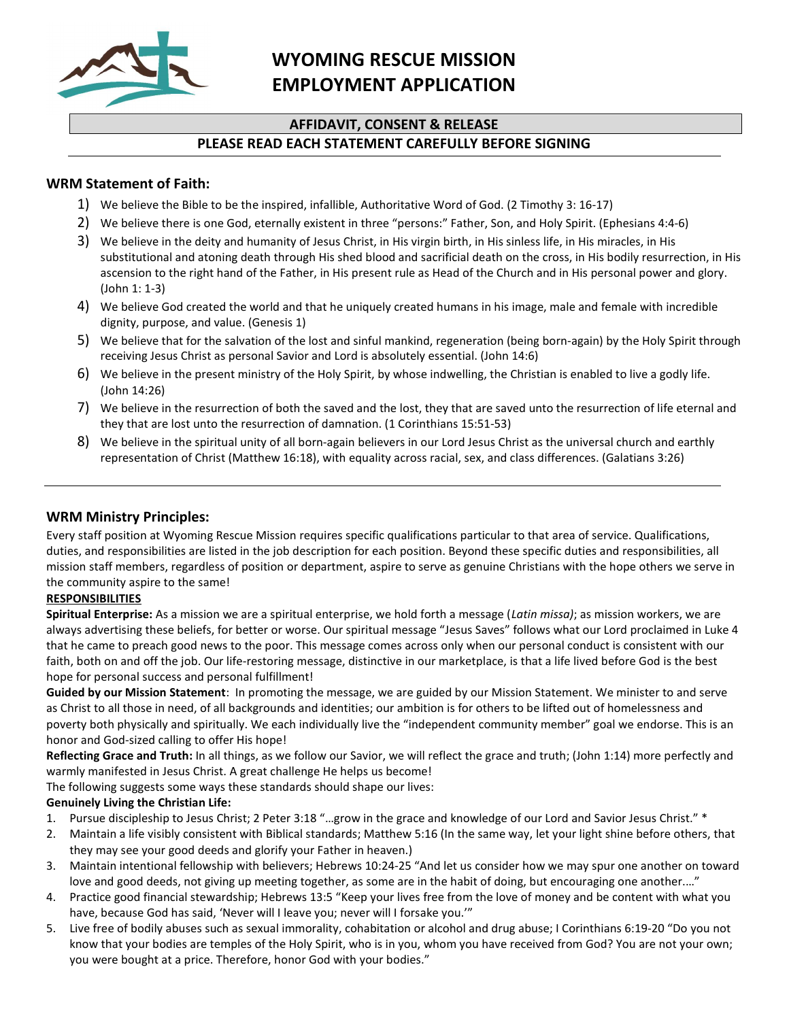

### AFFIDAVIT, CONSENT & RELEASE

### PLEASE READ EACH STATEMENT CAREFULLY BEFORE SIGNING

#### WRM Statement of Faith:

- 1) We believe the Bible to be the inspired, infallible, Authoritative Word of God. (2 Timothy 3: 16-17)
- 2) We believe there is one God, eternally existent in three "persons:" Father, Son, and Holy Spirit. (Ephesians 4:4-6)
- 3) We believe in the deity and humanity of Jesus Christ, in His virgin birth, in His sinless life, in His miracles, in His substitutional and atoning death through His shed blood and sacrificial death on the cross, in His bodily resurrection, in His ascension to the right hand of the Father, in His present rule as Head of the Church and in His personal power and glory. (John 1: 1-3)
- 4) We believe God created the world and that he uniquely created humans in his image, male and female with incredible dignity, purpose, and value. (Genesis 1)
- 5) We believe that for the salvation of the lost and sinful mankind, regeneration (being born-again) by the Holy Spirit through receiving Jesus Christ as personal Savior and Lord is absolutely essential. (John 14:6)
- 6) We believe in the present ministry of the Holy Spirit, by whose indwelling, the Christian is enabled to live a godly life. (John 14:26)
- 7) We believe in the resurrection of both the saved and the lost, they that are saved unto the resurrection of life eternal and they that are lost unto the resurrection of damnation. (1 Corinthians 15:51-53)
- 8) We believe in the spiritual unity of all born-again believers in our Lord Jesus Christ as the universal church and earthly representation of Christ (Matthew 16:18), with equality across racial, sex, and class differences. (Galatians 3:26)

### WRM Ministry Principles:

Every staff position at Wyoming Rescue Mission requires specific qualifications particular to that area of service. Qualifications, duties, and responsibilities are listed in the job description for each position. Beyond these specific duties and responsibilities, all mission staff members, regardless of position or department, aspire to serve as genuine Christians with the hope others we serve in the community aspire to the same!

#### RESPONSIBILITIES

Spiritual Enterprise: As a mission we are a spiritual enterprise, we hold forth a message (Latin missa); as mission workers, we are always advertising these beliefs, for better or worse. Our spiritual message "Jesus Saves" follows what our Lord proclaimed in Luke 4 that he came to preach good news to the poor. This message comes across only when our personal conduct is consistent with our faith, both on and off the job. Our life-restoring message, distinctive in our marketplace, is that a life lived before God is the best hope for personal success and personal fulfillment!

Guided by our Mission Statement: In promoting the message, we are guided by our Mission Statement. We minister to and serve as Christ to all those in need, of all backgrounds and identities; our ambition is for others to be lifted out of homelessness and poverty both physically and spiritually. We each individually live the "independent community member" goal we endorse. This is an honor and God-sized calling to offer His hope!

Reflecting Grace and Truth: In all things, as we follow our Savior, we will reflect the grace and truth; (John 1:14) more perfectly and warmly manifested in Jesus Christ. A great challenge He helps us become!

The following suggests some ways these standards should shape our lives:

#### Genuinely Living the Christian Life:

- 1. Pursue discipleship to Jesus Christ; 2 Peter 3:18 "…grow in the grace and knowledge of our Lord and Savior Jesus Christ." \*
- 2. Maintain a life visibly consistent with Biblical standards; Matthew 5:16 (In the same way, let your light shine before others, that they may see your good deeds and glorify your Father in heaven.)
- 3. Maintain intentional fellowship with believers; Hebrews 10:24-25 "And let us consider how we may spur one another on toward love and good deeds, not giving up meeting together, as some are in the habit of doing, but encouraging one another...."
- 4. Practice good financial stewardship; Hebrews 13:5 "Keep your lives free from the love of money and be content with what you have, because God has said, 'Never will I leave you; never will I forsake you.'"
- 5. Live free of bodily abuses such as sexual immorality, cohabitation or alcohol and drug abuse; I Corinthians 6:19-20 "Do you not know that your bodies are temples of the Holy Spirit, who is in you, whom you have received from God? You are not your own; you were bought at a price. Therefore, honor God with your bodies."